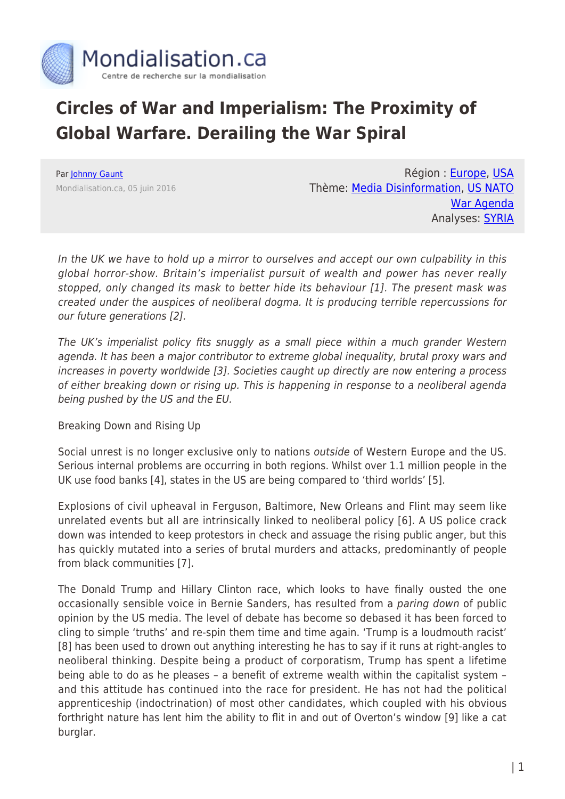

## **Circles of War and Imperialism: The Proximity of Global Warfare. Derailing the War Spiral**

Par [Johnny Gaunt](https://www.mondialisation.ca/author/gaunt) Mondialisation.ca, 05 juin 2016

Région : [Europe,](https://www.mondialisation.ca/region/europe) [USA](https://www.mondialisation.ca/region/usa) Thème: [Media Disinformation,](https://www.mondialisation.ca/theme/media-disinformation) [US NATO](https://www.mondialisation.ca/theme/us-nato-war-agenda) [War Agenda](https://www.mondialisation.ca/theme/us-nato-war-agenda) Analyses: **SYRIA** 

In the UK we have to hold up a mirror to ourselves and accept our own culpability in this global horror-show. Britain's imperialist pursuit of wealth and power has never really stopped, only changed its mask to better hide its behaviour [1]. The present mask was created under the auspices of neoliberal dogma. It is producing terrible repercussions for our future generations [2].

The UK's imperialist policy fits snuggly as a small piece within a much grander Western agenda. It has been a major contributor to extreme global inequality, brutal proxy wars and increases in poverty worldwide [3]. Societies caught up directly are now entering a process of either breaking down or rising up. This is happening in response to a neoliberal agenda being pushed by the US and the EU.

Breaking Down and Rising Up

Social unrest is no longer exclusive only to nations outside of Western Europe and the US. Serious internal problems are occurring in both regions. Whilst over 1.1 million people in the UK use food banks [4], states in the US are being compared to 'third worlds' [5].

Explosions of civil upheaval in Ferguson, Baltimore, New Orleans and Flint may seem like unrelated events but all are intrinsically linked to neoliberal policy [6]. A US police crack down was intended to keep protestors in check and assuage the rising public anger, but this has quickly mutated into a series of brutal murders and attacks, predominantly of people from black communities [7].

The Donald Trump and Hillary Clinton race, which looks to have finally ousted the one occasionally sensible voice in Bernie Sanders, has resulted from a paring down of public opinion by the US media. The level of debate has become so debased it has been forced to cling to simple 'truths' and re-spin them time and time again. 'Trump is a loudmouth racist' [8] has been used to drown out anything interesting he has to say if it runs at right-angles to neoliberal thinking. Despite being a product of corporatism, Trump has spent a lifetime being able to do as he pleases – a benefit of extreme wealth within the capitalist system – and this attitude has continued into the race for president. He has not had the political apprenticeship (indoctrination) of most other candidates, which coupled with his obvious forthright nature has lent him the ability to flit in and out of Overton's window [9] like a cat burglar.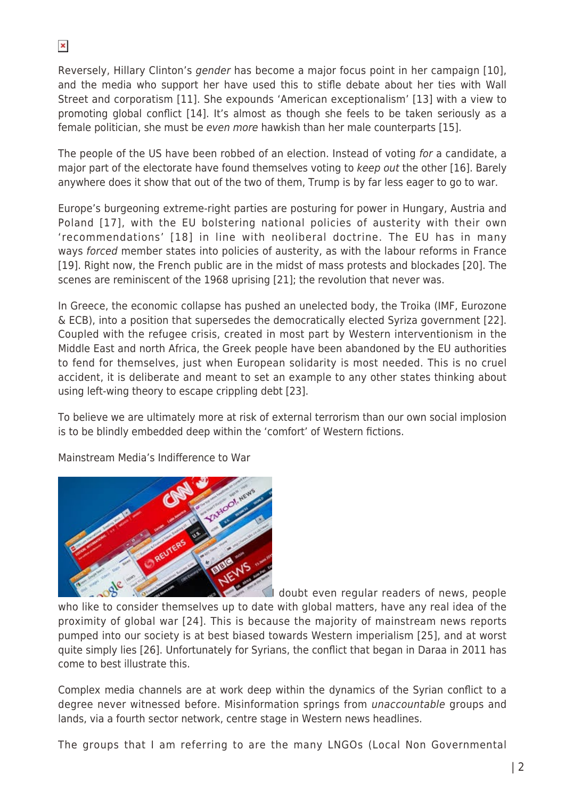Reversely, Hillary Clinton's gender has become a major focus point in her campaign [10], and the media who support her have used this to stifle debate about her ties with Wall Street and corporatism [11]. She expounds 'American exceptionalism' [13] with a view to promoting global conflict [14]. It's almost as though she feels to be taken seriously as a female politician, she must be even more hawkish than her male counterparts [15].

The people of the US have been robbed of an election. Instead of voting for a candidate, a major part of the electorate have found themselves voting to keep out the other [16]. Barely anywhere does it show that out of the two of them, Trump is by far less eager to go to war.

Europe's burgeoning extreme-right parties are posturing for power in Hungary, Austria and Poland [17], with the EU bolstering national policies of austerity with their own 'recommendations' [18] in line with neoliberal doctrine. The EU has in many ways forced member states into policies of austerity, as with the labour reforms in France [19]. Right now, the French public are in the midst of mass protests and blockades [20]. The scenes are reminiscent of the 1968 uprising [21]; the revolution that never was.

In Greece, the economic collapse has pushed an unelected body, the Troika (IMF, Eurozone & ECB), into a position that supersedes the democratically elected Syriza government [22]. Coupled with the refugee crisis, created in most part by Western interventionism in the Middle East and north Africa, the Greek people have been abandoned by the EU authorities to fend for themselves, just when European solidarity is most needed. This is no cruel accident, it is deliberate and meant to set an example to any other states thinking about using left-wing theory to escape crippling debt [23].

To believe we are ultimately more at risk of external terrorism than our own social implosion is to be blindly embedded deep within the 'comfort' of Western fictions.

Mainstream Media's Indifference to War



I doubt even regular readers of news, people

who like to consider themselves up to date with global matters, have any real idea of the proximity of global war [24]. This is because the majority of mainstream news reports pumped into our society is at best biased towards Western imperialism [25], and at worst quite simply lies [26]. Unfortunately for Syrians, the conflict that began in Daraa in 2011 has come to best illustrate this.

Complex media channels are at work deep within the dynamics of the Syrian conflict to a degree never witnessed before. Misinformation springs from unaccountable groups and lands, via a fourth sector network, centre stage in Western news headlines.

The groups that I am referring to are the many LNGOs (Local Non Governmental

 $\pmb{\times}$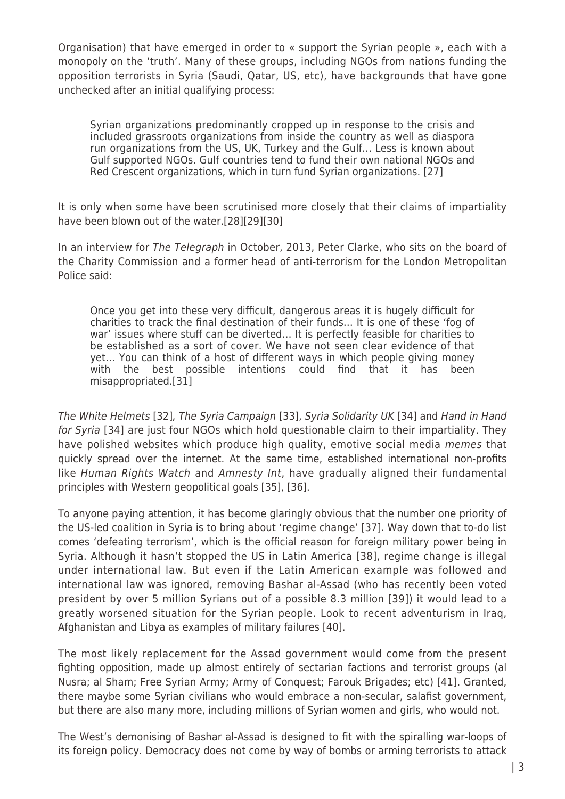Organisation) that have emerged in order to « support the Syrian people », each with a monopoly on the 'truth'. Many of these groups, including NGOs from nations funding the opposition terrorists in Syria (Saudi, Qatar, US, etc), have backgrounds that have gone unchecked after an initial qualifying process:

Syrian organizations predominantly cropped up in response to the crisis and included grassroots organizations from inside the country as well as diaspora run organizations from the US, UK, Turkey and the Gulf… Less is known about Gulf supported NGOs. Gulf countries tend to fund their own national NGOs and Red Crescent organizations, which in turn fund Syrian organizations. [27]

It is only when some have been scrutinised more closely that their claims of impartiality have been blown out of the water.[28][29][30]

In an interview for The Telegraph in October, 2013, Peter Clarke, who sits on the board of the Charity Commission and a former head of anti-terrorism for the London Metropolitan Police said:

Once you get into these very difficult, dangerous areas it is hugely difficult for charities to track the final destination of their funds… It is one of these 'fog of war' issues where stuff can be diverted… It is perfectly feasible for charities to be established as a sort of cover. We have not seen clear evidence of that yet… You can think of a host of different ways in which people giving money with the best possible intentions could find that it has been misappropriated.[31]

The White Helmets [32], The Syria Campaign [33], Syria Solidarity UK [34] and Hand in Hand for Syria [34] are just four NGOs which hold questionable claim to their impartiality. They have polished websites which produce high quality, emotive social media *memes* that quickly spread over the internet. At the same time, established international non-profits like Human Rights Watch and Amnesty Int, have gradually aligned their fundamental principles with Western geopolitical goals [35], [36].

To anyone paying attention, it has become glaringly obvious that the number one priority of the US-led coalition in Syria is to bring about 'regime change' [37]. Way down that to-do list comes 'defeating terrorism', which is the official reason for foreign military power being in Syria. Although it hasn't stopped the US in Latin America [38], regime change is illegal under international law. But even if the Latin American example was followed and international law was ignored, removing Bashar al-Assad (who has recently been voted president by over 5 million Syrians out of a possible 8.3 million [39]) it would lead to a greatly worsened situation for the Syrian people. Look to recent adventurism in Iraq, Afghanistan and Libya as examples of military failures [40].

The most likely replacement for the Assad government would come from the present fighting opposition, made up almost entirely of sectarian factions and terrorist groups (al Nusra; al Sham; Free Syrian Army; Army of Conquest; Farouk Brigades; etc) [41]. Granted, there maybe some Syrian civilians who would embrace a non-secular, salafist government, but there are also many more, including millions of Syrian women and girls, who would not.

The West's demonising of Bashar al-Assad is designed to fit with the spiralling war-loops of its foreign policy. Democracy does not come by way of bombs or arming terrorists to attack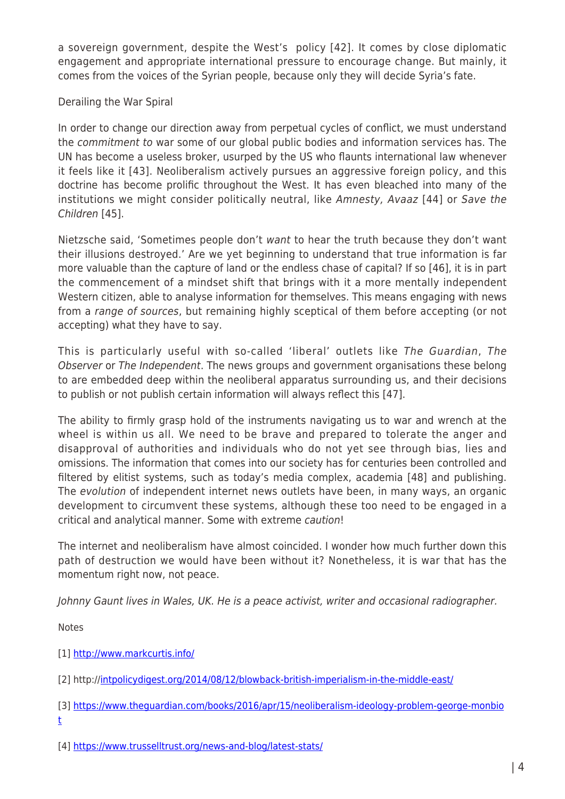a sovereign government, despite the West's policy [42]. It comes by close diplomatic engagement and appropriate international pressure to encourage change. But mainly, it comes from the voices of the Syrian people, because only they will decide Syria's fate.

## Derailing the War Spiral

In order to change our direction away from perpetual cycles of conflict, we must understand the commitment to war some of our global public bodies and information services has. The UN has become a useless broker, usurped by the US who flaunts international law whenever it feels like it [43]. Neoliberalism actively pursues an aggressive foreign policy, and this doctrine has become prolific throughout the West. It has even bleached into many of the institutions we might consider politically neutral, like Amnesty, Avaaz [44] or Save the Children [45].

Nietzsche said, 'Sometimes people don't want to hear the truth because they don't want their illusions destroyed.' Are we yet beginning to understand that true information is far more valuable than the capture of land or the endless chase of capital? If so [46], it is in part the commencement of a mindset shift that brings with it a more mentally independent Western citizen, able to analyse information for themselves. This means engaging with news from a range of sources, but remaining highly sceptical of them before accepting (or not accepting) what they have to say.

This is particularly useful with so-called 'liberal' outlets like The Guardian, The Observer or The Independent. The news groups and government organisations these belong to are embedded deep within the neoliberal apparatus surrounding us, and their decisions to publish or not publish certain information will always reflect this [47].

The ability to firmly grasp hold of the instruments navigating us to war and wrench at the wheel is within us all. We need to be brave and prepared to tolerate the anger and disapproval of authorities and individuals who do not yet see through bias, lies and omissions. The information that comes into our society has for centuries been controlled and filtered by elitist systems, such as today's media complex, academia [48] and publishing. The evolution of independent internet news outlets have been, in many ways, an organic development to circumvent these systems, although these too need to be engaged in a critical and analytical manner. Some with extreme caution!

The internet and neoliberalism have almost coincided. I wonder how much further down this path of destruction we would have been without it? Nonetheless, it is war that has the momentum right now, not peace.

Johnny Gaunt lives in Wales, UK. He is a peace activist, writer and occasional radiographer.

Notes

[1]<http://www.markcurtis.info/>

[2] http://[intpolicydigest.org/2014/08/12/blowback-british-imperialism-in-the-middle-east/](http://intpolicydigest.org/2014/08/12/blowback-british-imperialism-in-the-middle-east/%5D)

[3] [https://www.theguardian.com/books/2016/apr/15/neoliberalism-ideology-problem-george-monbio](https://www.theguardian.com/books/2016/apr/15/neoliberalism-ideology-problem-george-monbiot) [t](https://www.theguardian.com/books/2016/apr/15/neoliberalism-ideology-problem-george-monbiot)

[4]<https://www.trusselltrust.org/news-and-blog/latest-stats/>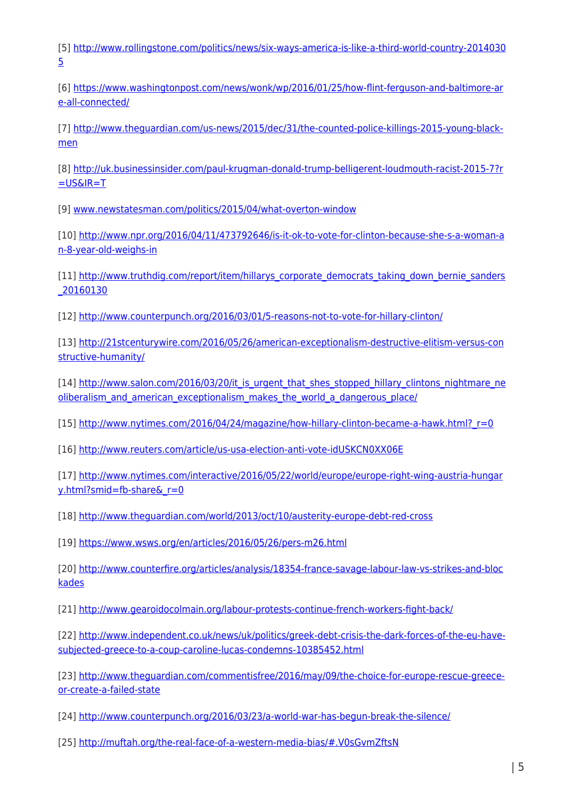[5] [http://www.rollingstone.com/politics/news/six-ways-america-is-like-a-third-world-country-2014030](http://www.rollingstone.com/politics/news/six-ways-america-is-like-a-third-world-country-20140305) [5](http://www.rollingstone.com/politics/news/six-ways-america-is-like-a-third-world-country-20140305)

[6] [https://www.washingtonpost.com/news/wonk/wp/2016/01/25/how-flint-ferguson-and-baltimore-ar](https://www.washingtonpost.com/news/wonk/wp/2016/01/25/how-flint-ferguson-and-baltimore-are-all-connected/) [e-all-connected/](https://www.washingtonpost.com/news/wonk/wp/2016/01/25/how-flint-ferguson-and-baltimore-are-all-connected/)

[7] [http://www.theguardian.com/us-news/2015/dec/31/the-counted-police-killings-2015-young-black](http://www.theguardian.com/us-news/2015/dec/31/the-counted-police-killings-2015-young-black-men)[men](http://www.theguardian.com/us-news/2015/dec/31/the-counted-police-killings-2015-young-black-men)

[8] [http://uk.businessinsider.com/paul-krugman-donald-trump-belligerent-loudmouth-racist-2015-7?r](http://uk.businessinsider.com/paul-krugman-donald-trump-belligerent-loudmouth-racist-2015-7?r=US&IR=T)  $=$ US&IR $=$ T

[9] [www.newstatesman.com/politics/2015/04/what-overton-window](http://www.newstatesman.com/politics/2015/04/what-overton-window)

[10] [http://www.npr.org/2016/04/11/473792646/is-it-ok-to-vote-for-clinton-because-she-s-a-woman-a](http://www.npr.org/2016/04/11/473792646/is-it-ok-to-vote-for-clinton-because-she-s-a-woman-an-8-year-old-weighs-in) [n-8-year-old-weighs-in](http://www.npr.org/2016/04/11/473792646/is-it-ok-to-vote-for-clinton-because-she-s-a-woman-an-8-year-old-weighs-in)

[11] [http://www.truthdig.com/report/item/hillarys\\_corporate\\_democrats\\_taking\\_down\\_bernie\\_sanders](http://www.truthdig.com/report/item/hillarys_corporate_democrats_taking_down_bernie_sanders_20160130) [\\_20160130](http://www.truthdig.com/report/item/hillarys_corporate_democrats_taking_down_bernie_sanders_20160130)

[12]<http://www.counterpunch.org/2016/03/01/5-reasons-not-to-vote-for-hillary-clinton/>

[13] [http://21stcenturywire.com/2016/05/26/american-exceptionalism-destructive-elitism-versus-con](http://21stcenturywire.com/2016/05/26/american-exceptionalism-destructive-elitism-versus-constructive-humanity/) [structive-humanity/](http://21stcenturywire.com/2016/05/26/american-exceptionalism-destructive-elitism-versus-constructive-humanity/)

[14] [http://www.salon.com/2016/03/20/it\\_is\\_urgent\\_that\\_shes\\_stopped\\_hillary\\_clintons\\_nightmare\\_ne](http://www.salon.com/2016/03/20/it_is_urgent_that_shes_stopped_hillary_clintons_nightmare_neoliberalism_and_american_exceptionalism_makes_the_world_a_dangerous_place/) [oliberalism\\_and\\_american\\_exceptionalism\\_makes\\_the\\_world\\_a\\_dangerous\\_place/](http://www.salon.com/2016/03/20/it_is_urgent_that_shes_stopped_hillary_clintons_nightmare_neoliberalism_and_american_exceptionalism_makes_the_world_a_dangerous_place/)

[15] [http://www.nytimes.com/2016/04/24/magazine/how-hillary-clinton-became-a-hawk.html?\\_r=0](http://www.nytimes.com/2016/04/24/magazine/how-hillary-clinton-became-a-hawk.html?_r=0)

[16]<http://www.reuters.com/article/us-usa-election-anti-vote-idUSKCN0XX06E>

[17] [http://www.nytimes.com/interactive/2016/05/22/world/europe/europe-right-wing-austria-hungar](http://www.nytimes.com/interactive/2016/05/22/world/europe/europe-right-wing-austria-hungary.html?smid=fb-share&_r=0) y.html?smid=fb-share&r=0

[18]<http://www.theguardian.com/world/2013/oct/10/austerity-europe-debt-red-cross>

[19]<https://www.wsws.org/en/articles/2016/05/26/pers-m26.html>

[20] [http://www.counterfire.org/articles/analysis/18354-france-savage-labour-law-vs-strikes-and-bloc](http://www.counterfire.org/articles/analysis/18354-france-savage-labour-law-vs-strikes-and-blockades) [kades](http://www.counterfire.org/articles/analysis/18354-france-savage-labour-law-vs-strikes-and-blockades)

[21]<http://www.gearoidocolmain.org/labour-protests-continue-french-workers-fight-back/>

[22] [http://www.independent.co.uk/news/uk/politics/greek-debt-crisis-the-dark-forces-of-the-eu-have](http://www.independent.co.uk/news/uk/politics/greek-debt-crisis-the-dark-forces-of-the-eu-have-subjected-greece-to-a-coup-caroline-lucas-condemns-10385452.html)[subjected-greece-to-a-coup-caroline-lucas-condemns-10385452.html](http://www.independent.co.uk/news/uk/politics/greek-debt-crisis-the-dark-forces-of-the-eu-have-subjected-greece-to-a-coup-caroline-lucas-condemns-10385452.html)

[23] [http://www.theguardian.com/commentisfree/2016/may/09/the-choice-for-europe-rescue-greece](http://www.theguardian.com/commentisfree/2016/may/09/the-choice-for-europe-rescue-greece-or-create-a-failed-state)[or-create-a-failed-state](http://www.theguardian.com/commentisfree/2016/may/09/the-choice-for-europe-rescue-greece-or-create-a-failed-state)

[24]<http://www.counterpunch.org/2016/03/23/a-world-war-has-begun-break-the-silence/>

[25]<http://muftah.org/the-real-face-of-a-western-media-bias/#.V0sGvmZftsN>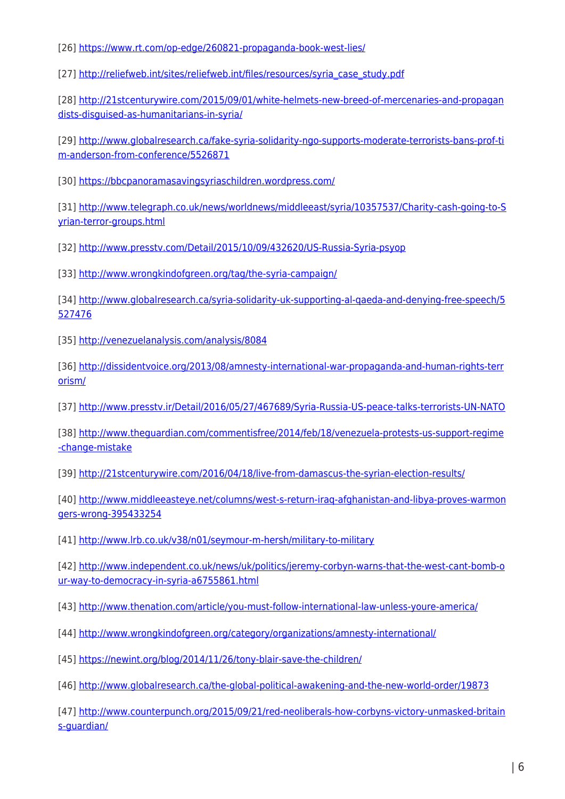[26]<https://www.rt.com/op-edge/260821-propaganda-book-west-lies/>

[27] [http://reliefweb.int/sites/reliefweb.int/files/resources/syria\\_case\\_study.pdf](http://reliefweb.int/sites/reliefweb.int/files/resources/syria_case_study.pdf)

[28] [http://21stcenturywire.com/2015/09/01/white-helmets-new-breed-of-mercenaries-and-propagan](http://21stcenturywire.com/2015/09/01/white-helmets-new-breed-of-mercenaries-and-propagandists-disguised-as-humanitarians-in-syria/) [dists-disguised-as-humanitarians-in-syria/](http://21stcenturywire.com/2015/09/01/white-helmets-new-breed-of-mercenaries-and-propagandists-disguised-as-humanitarians-in-syria/)

[29] [http://www.globalresearch.ca/fake-syria-solidarity-ngo-supports-moderate-terrorists-bans-prof-ti](http://www.globalresearch.ca/fake-syria-solidarity-ngo-supports-moderate-terrorists-bans-prof-tim-anderson-from-conference/5526871) [m-anderson-from-conference/5526871](http://www.globalresearch.ca/fake-syria-solidarity-ngo-supports-moderate-terrorists-bans-prof-tim-anderson-from-conference/5526871)

[30]<https://bbcpanoramasavingsyriaschildren.wordpress.com/>

[31] [http://www.telegraph.co.uk/news/worldnews/middleeast/syria/10357537/Charity-cash-going-to-S](http://www.telegraph.co.uk/news/worldnews/middleeast/syria/10357537/Charity-cash-going-to-Syrian-terror-groups.html) [yrian-terror-groups.html](http://www.telegraph.co.uk/news/worldnews/middleeast/syria/10357537/Charity-cash-going-to-Syrian-terror-groups.html)

[32]<http://www.presstv.com/Detail/2015/10/09/432620/US-Russia-Syria-psyop>

[33]<http://www.wrongkindofgreen.org/tag/the-syria-campaign/>

[34] [http://www.globalresearch.ca/syria-solidarity-uk-supporting-al-qaeda-and-denying-free-speech/5](http://www.globalresearch.ca/syria-solidarity-uk-supporting-al-qaeda-and-denying-free-speech/5527476) [527476](http://www.globalresearch.ca/syria-solidarity-uk-supporting-al-qaeda-and-denying-free-speech/5527476)

[35]<http://venezuelanalysis.com/analysis/8084>

[36] [http://dissidentvoice.org/2013/08/amnesty-international-war-propaganda-and-human-rights-terr](http://dissidentvoice.org/2013/08/amnesty-international-war-propaganda-and-human-rights-terrorism/) [orism/](http://dissidentvoice.org/2013/08/amnesty-international-war-propaganda-and-human-rights-terrorism/)

[37]<http://www.presstv.ir/Detail/2016/05/27/467689/Syria-Russia-US-peace-talks-terrorists-UN-NATO>

[38] [http://www.theguardian.com/commentisfree/2014/feb/18/venezuela-protests-us-support-regime](http://www.theguardian.com/commentisfree/2014/feb/18/venezuela-protests-us-support-regime-change-mistake) [-change-mistake](http://www.theguardian.com/commentisfree/2014/feb/18/venezuela-protests-us-support-regime-change-mistake)

[39]<http://21stcenturywire.com/2016/04/18/live-from-damascus-the-syrian-election-results/>

[40] [http://www.middleeasteye.net/columns/west-s-return-iraq-afghanistan-and-libya-proves-warmon](http://www.middleeasteye.net/columns/west-s-return-iraq-afghanistan-and-libya-proves-warmongers-wrong-395433254) [gers-wrong-395433254](http://www.middleeasteye.net/columns/west-s-return-iraq-afghanistan-and-libya-proves-warmongers-wrong-395433254)

[41]<http://www.lrb.co.uk/v38/n01/seymour-m-hersh/military-to-military>

[42] [http://www.independent.co.uk/news/uk/politics/jeremy-corbyn-warns-that-the-west-cant-bomb-o](http://www.independent.co.uk/news/uk/politics/jeremy-corbyn-warns-that-the-west-cant-bomb-our-way-to-democracy-in-syria-a6755861.html) [ur-way-to-democracy-in-syria-a6755861.html](http://www.independent.co.uk/news/uk/politics/jeremy-corbyn-warns-that-the-west-cant-bomb-our-way-to-democracy-in-syria-a6755861.html)

[43]<http://www.thenation.com/article/you-must-follow-international-law-unless-youre-america/>

[44]<http://www.wrongkindofgreen.org/category/organizations/amnesty-international/>

[45]<https://newint.org/blog/2014/11/26/tony-blair-save-the-children/>

[46]<http://www.globalresearch.ca/the-global-political-awakening-and-the-new-world-order/19873>

[47] [http://www.counterpunch.org/2015/09/21/red-neoliberals-how-corbyns-victory-unmasked-britain](http://www.counterpunch.org/2015/09/21/red-neoliberals-how-corbyns-victory-unmasked-britains-guardian/) [s-guardian/](http://www.counterpunch.org/2015/09/21/red-neoliberals-how-corbyns-victory-unmasked-britains-guardian/)